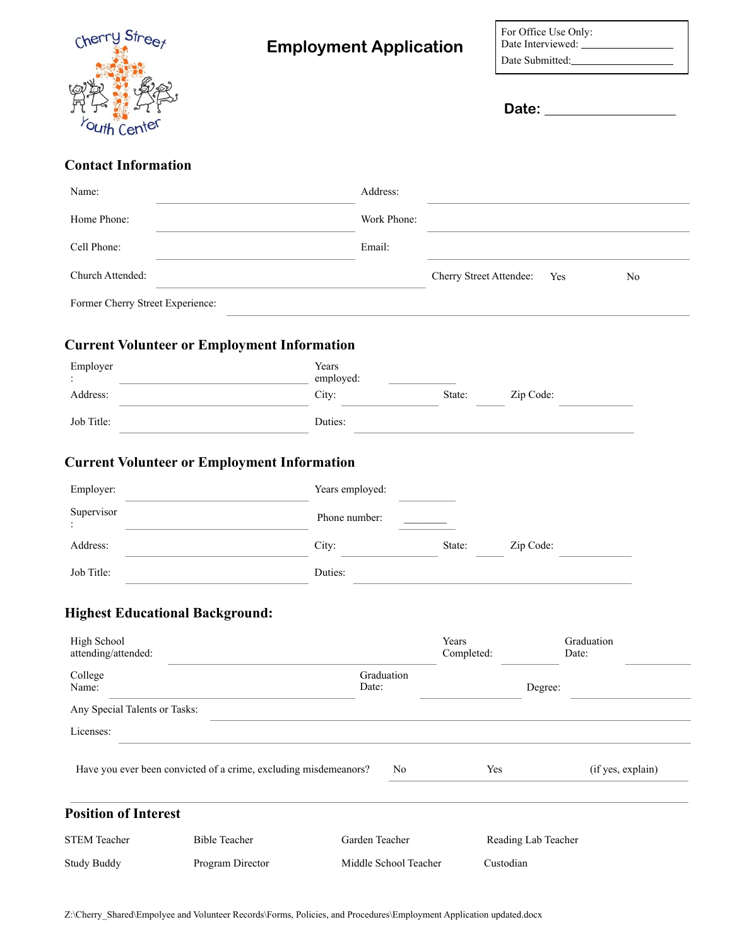

| For Office Use Only:                   |
|----------------------------------------|
| Date Interviewed: _<br>Date Submitted: |
|                                        |

**Date:** 

## **Contact Information**

| Name:                              |                                                                  | Address:              |                         |                     |                     |
|------------------------------------|------------------------------------------------------------------|-----------------------|-------------------------|---------------------|---------------------|
| Home Phone:                        |                                                                  | Work Phone:           |                         |                     |                     |
| Cell Phone:                        |                                                                  | Email:                |                         |                     |                     |
| Church Attended:                   |                                                                  |                       | Cherry Street Attendee: | Yes                 | N <sub>0</sub>      |
| Former Cherry Street Experience:   |                                                                  |                       |                         |                     |                     |
|                                    | <b>Current Volunteer or Employment Information</b>               |                       |                         |                     |                     |
| Employer                           | Years<br>employed:                                               |                       |                         |                     |                     |
| Address:                           | City:                                                            |                       | State:                  | Zip Code:           |                     |
| Job Title:                         | Duties:                                                          |                       |                         |                     |                     |
|                                    | <b>Current Volunteer or Employment Information</b>               |                       |                         |                     |                     |
| Employer:                          |                                                                  | Years employed:       |                         |                     |                     |
| Supervisor                         |                                                                  | Phone number:         |                         |                     |                     |
| Address:                           | City:                                                            |                       | State:                  | Zip Code:           |                     |
| Job Title:                         | Duties:                                                          |                       |                         |                     |                     |
|                                    | <b>Highest Educational Background:</b>                           |                       |                         |                     |                     |
| High School<br>attending/attended: |                                                                  |                       | Years<br>Completed:     |                     | Graduation<br>Date: |
| College<br>Name:                   |                                                                  | Graduation<br>Date:   |                         | Degree:             |                     |
| Any Special Talents or Tasks:      |                                                                  |                       |                         |                     |                     |
| Licenses:                          |                                                                  |                       |                         |                     |                     |
|                                    | Have you ever been convicted of a crime, excluding misdemeanors? | No                    | Yes                     |                     | (if yes, explain)   |
| <b>Position of Interest</b>        |                                                                  |                       |                         |                     |                     |
| <b>STEM Teacher</b>                | <b>Bible Teacher</b>                                             | Garden Teacher        |                         | Reading Lab Teacher |                     |
| <b>Study Buddy</b>                 | Program Director                                                 | Middle School Teacher | Custodian               |                     |                     |

Z:\Cherry\_Shared\Empolyee and Volunteer Records\Forms, Policies, and Procedures\Employment Application updated.docx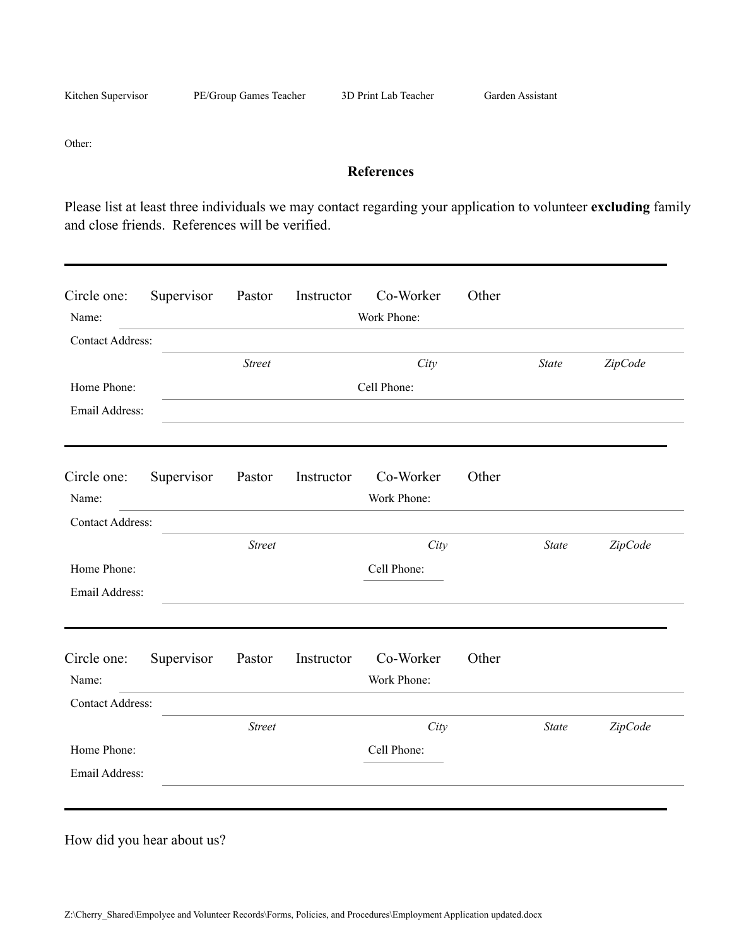Kitchen Supervisor PE/Group Games Teacher 3D Print Lab Teacher Garden Assistant

Other:

## **References**

Please list at least three individuals we may contact regarding your application to volunteer **excluding** family and close friends. References will be verified.

| Circle one:<br>Name:    | Supervisor | Pastor        | Instructor | Co-Worker<br>Work Phone: | Other |              |         |
|-------------------------|------------|---------------|------------|--------------------------|-------|--------------|---------|
| <b>Contact Address:</b> |            |               |            |                          |       |              |         |
|                         |            | <b>Street</b> |            | City                     |       | <b>State</b> | ZipCode |
| Home Phone:             |            |               |            | Cell Phone:              |       |              |         |
| Email Address:          |            |               |            |                          |       |              |         |
| Circle one:<br>Name:    | Supervisor | Pastor        | Instructor | Co-Worker<br>Work Phone: | Other |              |         |
| <b>Contact Address:</b> |            |               |            |                          |       |              |         |
|                         |            | <b>Street</b> |            | City                     |       | <b>State</b> | ZipCode |
| Home Phone:             |            |               |            | Cell Phone:              |       |              |         |
| Email Address:          |            |               |            |                          |       |              |         |
| Circle one:             | Supervisor | Pastor        | Instructor | Co-Worker                | Other |              |         |
| Name:                   |            |               |            | Work Phone:              |       |              |         |
| <b>Contact Address:</b> |            |               |            |                          |       |              |         |
|                         |            | <b>Street</b> |            | City                     |       | <b>State</b> | ZipCode |
| Home Phone:             |            |               |            | Cell Phone:              |       |              |         |
| Email Address:          |            |               |            |                          |       |              |         |

How did you hear about us?